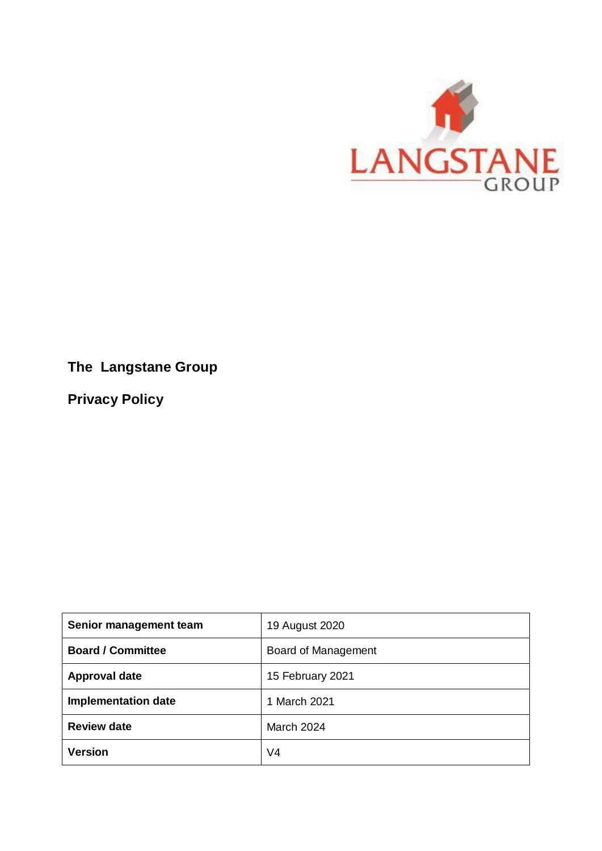

# **The Langstane Group**

**Privacy Policy**

| Senior management team     | 19 August 2020      |
|----------------------------|---------------------|
| <b>Board / Committee</b>   | Board of Management |
| <b>Approval date</b>       | 15 February 2021    |
| <b>Implementation date</b> | 1 March 2021        |
| <b>Review date</b>         | March 2024          |
| <b>Version</b>             | V4                  |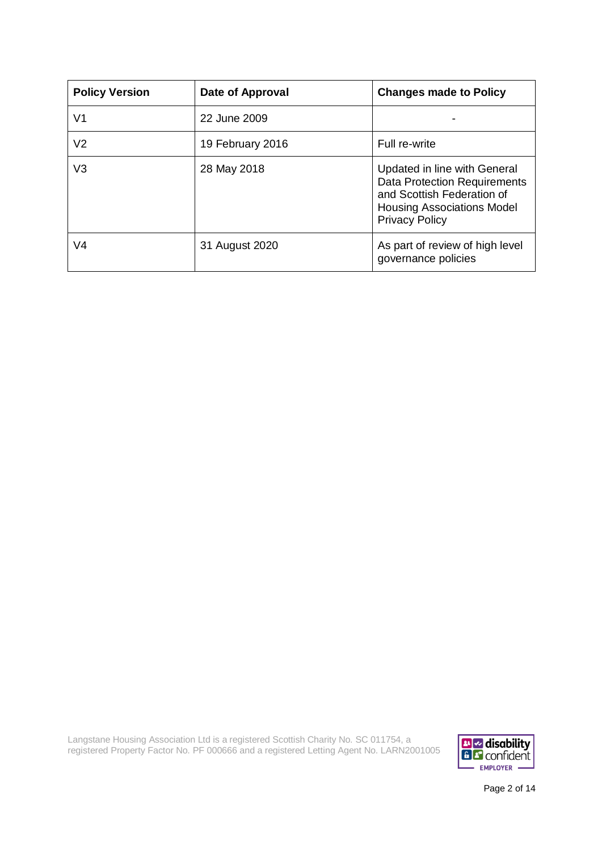| <b>Policy Version</b> | Date of Approval | <b>Changes made to Policy</b>                                                                                                                                   |
|-----------------------|------------------|-----------------------------------------------------------------------------------------------------------------------------------------------------------------|
| V1                    | 22 June 2009     |                                                                                                                                                                 |
| V <sub>2</sub>        | 19 February 2016 | Full re-write                                                                                                                                                   |
| V <sub>3</sub>        | 28 May 2018      | Updated in line with General<br><b>Data Protection Requirements</b><br>and Scottish Federation of<br><b>Housing Associations Model</b><br><b>Privacy Policy</b> |
| V <sub>4</sub>        | 31 August 2020   | As part of review of high level<br>governance policies                                                                                                          |

Langstane Housing Association Ltd is a registered Scottish Charity No. SC 011754, a registered Property Factor No. PF 000666 and a registered Letting Agent No. LARN2001005



Page 2 of 14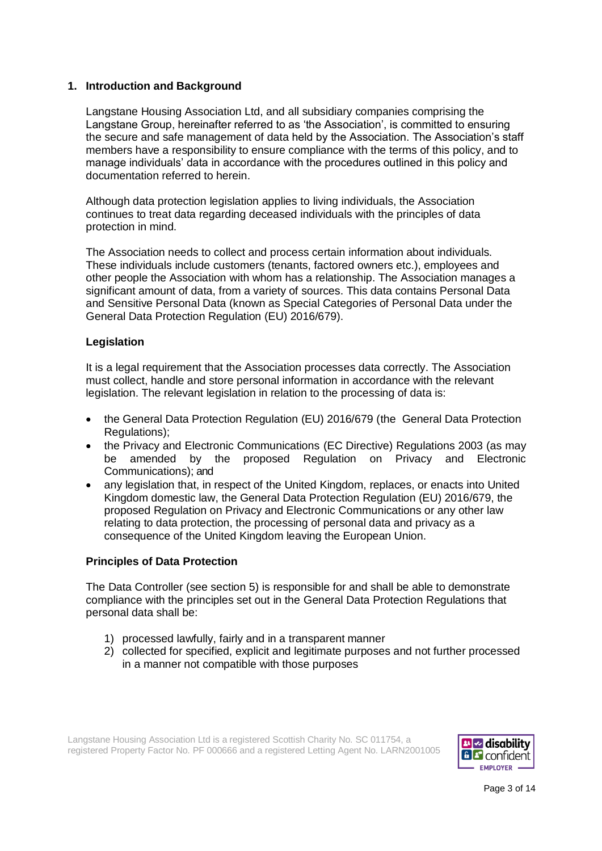# **1. Introduction and Background**

Langstane Housing Association Ltd, and all subsidiary companies comprising the Langstane Group, hereinafter referred to as 'the Association', is committed to ensuring the secure and safe management of data held by the Association. The Association's staff members have a responsibility to ensure compliance with the terms of this policy, and to manage individuals' data in accordance with the procedures outlined in this policy and documentation referred to herein.

Although data protection legislation applies to living individuals, the Association continues to treat data regarding deceased individuals with the principles of data protection in mind.

The Association needs to collect and process certain information about individuals. These individuals include customers (tenants, factored owners etc.), employees and other people the Association with whom has a relationship. The Association manages a significant amount of data, from a variety of sources. This data contains Personal Data and Sensitive Personal Data (known as Special Categories of Personal Data under the General Data Protection Regulation (EU) 2016/679).

# **Legislation**

It is a legal requirement that the Association processes data correctly. The Association must collect, handle and store personal information in accordance with the relevant legislation. The relevant legislation in relation to the processing of data is:

- the General Data Protection Regulation (EU) 2016/679 (the General Data Protection Regulations);
- the Privacy and Electronic Communications (EC Directive) Regulations 2003 (as may be amended by the proposed Regulation on Privacy and Electronic Communications); and
- any legislation that, in respect of the United Kingdom, replaces, or enacts into United Kingdom domestic law, the General Data Protection Regulation (EU) 2016/679, the proposed Regulation on Privacy and Electronic Communications or any other law relating to data protection, the processing of personal data and privacy as a consequence of the United Kingdom leaving the European Union.

### **Principles of Data Protection**

The Data Controller (see section 5) is responsible for and shall be able to demonstrate compliance with the principles set out in the General Data Protection Regulations that personal data shall be:

- 1) processed lawfully, fairly and in a transparent manner
- 2) collected for specified, explicit and legitimate purposes and not further processed in a manner not compatible with those purposes

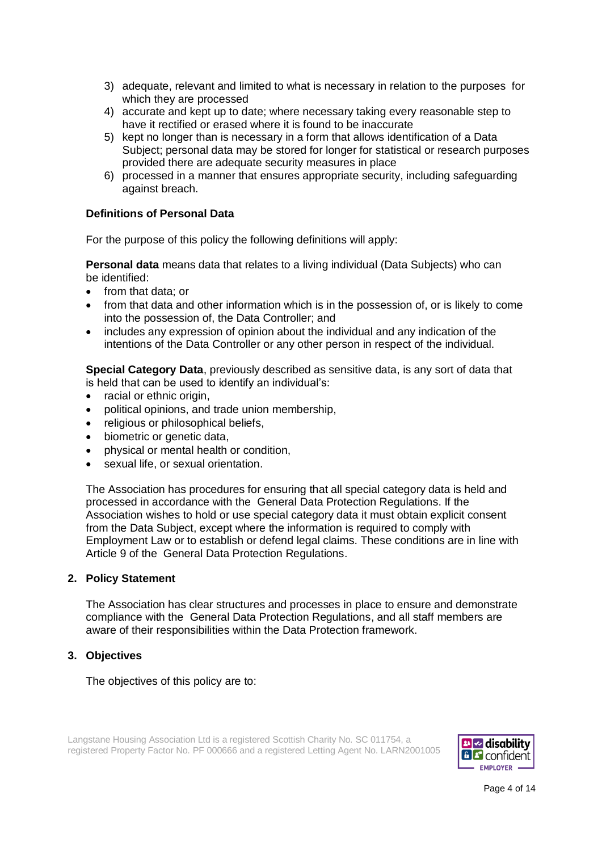- 3) adequate, relevant and limited to what is necessary in relation to the purposes for which they are processed
- 4) accurate and kept up to date; where necessary taking every reasonable step to have it rectified or erased where it is found to be inaccurate
- 5) kept no longer than is necessary in a form that allows identification of a Data Subject; personal data may be stored for longer for statistical or research purposes provided there are adequate security measures in place
- 6) processed in a manner that ensures appropriate security, including safeguarding against breach.

# **Definitions of Personal Data**

For the purpose of this policy the following definitions will apply:

**Personal data** means data that relates to a living individual (Data Subjects) who can be identified:

- from that data; or
- from that data and other information which is in the possession of, or is likely to come into the possession of, the Data Controller; and
- includes any expression of opinion about the individual and any indication of the intentions of the Data Controller or any other person in respect of the individual.

**Special Category Data**, previously described as sensitive data, is any sort of data that is held that can be used to identify an individual's:

- racial or ethnic origin,
- political opinions, and trade union membership,
- religious or philosophical beliefs,
- biometric or genetic data,
- physical or mental health or condition,
- sexual life, or sexual orientation.

The Association has procedures for ensuring that all special category data is held and processed in accordance with the General Data Protection Regulations. If the Association wishes to hold or use special category data it must obtain explicit consent from the Data Subject, except where the information is required to comply with Employment Law or to establish or defend legal claims. These conditions are in line with Article 9 of the General Data Protection Regulations.

### **2. Policy Statement**

The Association has clear structures and processes in place to ensure and demonstrate compliance with the General Data Protection Regulations, and all staff members are aware of their responsibilities within the Data Protection framework.

### **3. Objectives**

The objectives of this policy are to:

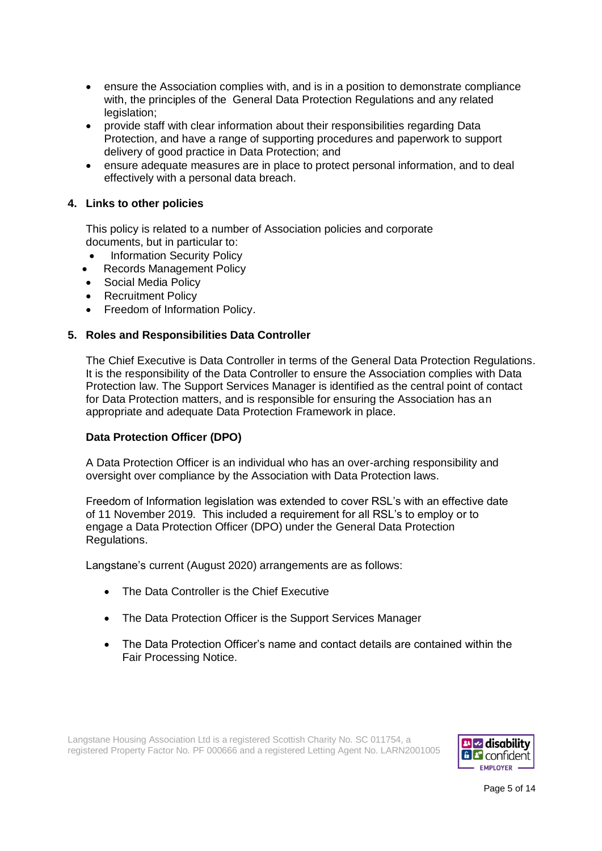- ensure the Association complies with, and is in a position to demonstrate compliance with, the principles of the General Data Protection Regulations and any related legislation;
- provide staff with clear information about their responsibilities regarding Data Protection, and have a range of supporting procedures and paperwork to support delivery of good practice in Data Protection; and
- ensure adequate measures are in place to protect personal information, and to deal effectively with a personal data breach.

# **4. Links to other policies**

This policy is related to a number of Association policies and corporate documents, but in particular to:

- Information Security Policy
- Records Management Policy
- Social Media Policy
- Recruitment Policy
- Freedom of Information Policy.

# **5. Roles and Responsibilities Data Controller**

The Chief Executive is Data Controller in terms of the General Data Protection Regulations. It is the responsibility of the Data Controller to ensure the Association complies with Data Protection law. The Support Services Manager is identified as the central point of contact for Data Protection matters, and is responsible for ensuring the Association has an appropriate and adequate Data Protection Framework in place.

# **Data Protection Officer (DPO)**

A Data Protection Officer is an individual who has an over-arching responsibility and oversight over compliance by the Association with Data Protection laws.

Freedom of Information legislation was extended to cover RSL's with an effective date of 11 November 2019. This included a requirement for all RSL's to employ or to engage a Data Protection Officer (DPO) under the General Data Protection Regulations.

Langstane's current (August 2020) arrangements are as follows:

- The Data Controller is the Chief Executive
- The Data Protection Officer is the Support Services Manager
- The Data Protection Officer's name and contact details are contained within the Fair Processing Notice.



Page 5 of 14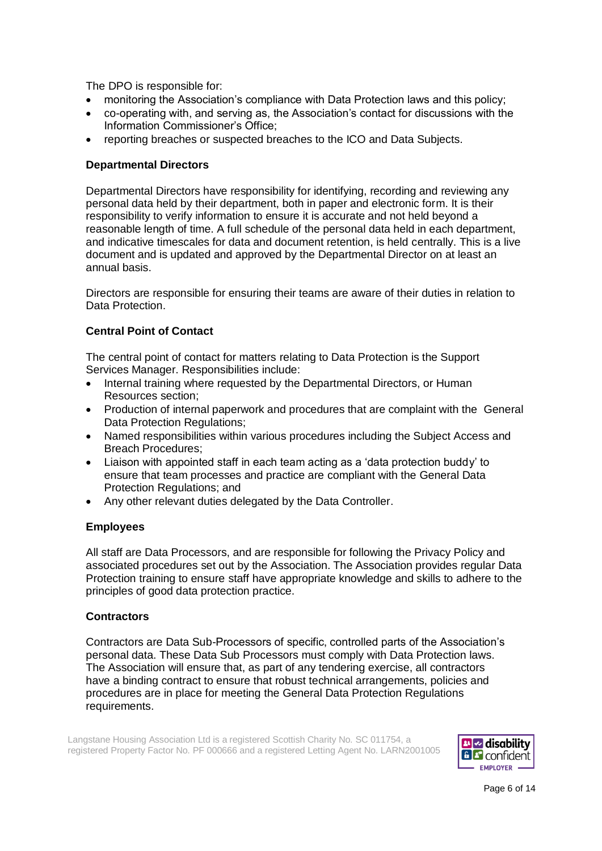The DPO is responsible for:

- monitoring the Association's compliance with Data Protection laws and this policy;
- co-operating with, and serving as, the Association's contact for discussions with the Information Commissioner's Office;
- reporting breaches or suspected breaches to the ICO and Data Subjects.

# **Departmental Directors**

Departmental Directors have responsibility for identifying, recording and reviewing any personal data held by their department, both in paper and electronic form. It is their responsibility to verify information to ensure it is accurate and not held beyond a reasonable length of time. A full schedule of the personal data held in each department, and indicative timescales for data and document retention, is held centrally. This is a live document and is updated and approved by the Departmental Director on at least an annual basis.

Directors are responsible for ensuring their teams are aware of their duties in relation to Data Protection.

# **Central Point of Contact**

The central point of contact for matters relating to Data Protection is the Support Services Manager. Responsibilities include:

- Internal training where requested by the Departmental Directors, or Human Resources section;
- Production of internal paperwork and procedures that are complaint with the General Data Protection Regulations;
- Named responsibilities within various procedures including the Subject Access and Breach Procedures;
- Liaison with appointed staff in each team acting as a 'data protection buddy' to ensure that team processes and practice are compliant with the General Data Protection Regulations; and
- Any other relevant duties delegated by the Data Controller.

# **Employees**

All staff are Data Processors, and are responsible for following the Privacy Policy and associated procedures set out by the Association. The Association provides regular Data Protection training to ensure staff have appropriate knowledge and skills to adhere to the principles of good data protection practice.

### **Contractors**

Contractors are Data Sub-Processors of specific, controlled parts of the Association's personal data. These Data Sub Processors must comply with Data Protection laws. The Association will ensure that, as part of any tendering exercise, all contractors have a binding contract to ensure that robust technical arrangements, policies and procedures are in place for meeting the General Data Protection Regulations requirements.

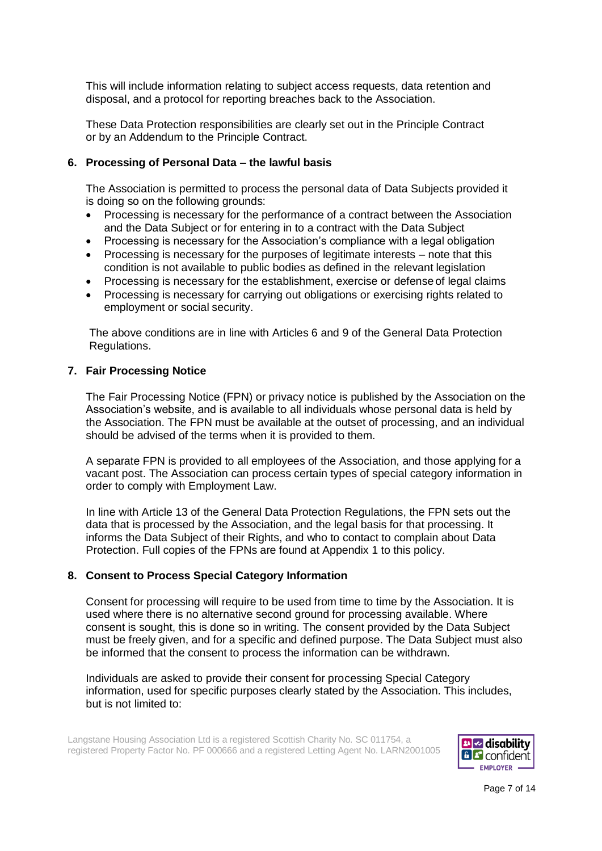This will include information relating to subject access requests, data retention and disposal, and a protocol for reporting breaches back to the Association.

These Data Protection responsibilities are clearly set out in the Principle Contract or by an Addendum to the Principle Contract.

# **6. Processing of Personal Data – the lawful basis**

The Association is permitted to process the personal data of Data Subjects provided it is doing so on the following grounds:

- Processing is necessary for the performance of a contract between the Association and the Data Subject or for entering in to a contract with the Data Subject
- Processing is necessary for the Association's compliance with a legal obligation
- Processing is necessary for the purposes of legitimate interests note that this condition is not available to public bodies as defined in the relevant legislation
- Processing is necessary for the establishment, exercise or defense of legal claims
- Processing is necessary for carrying out obligations or exercising rights related to employment or social security.

The above conditions are in line with Articles 6 and 9 of the General Data Protection Regulations.

#### **7. Fair Processing Notice**

The Fair Processing Notice (FPN) or privacy notice is published by the Association on the Association's website, and is available to all individuals whose personal data is held by the Association. The FPN must be available at the outset of processing, and an individual should be advised of the terms when it is provided to them.

A separate FPN is provided to all employees of the Association, and those applying for a vacant post. The Association can process certain types of special category information in order to comply with Employment Law.

In line with Article 13 of the General Data Protection Regulations, the FPN sets out the data that is processed by the Association, and the legal basis for that processing. It informs the Data Subject of their Rights, and who to contact to complain about Data Protection. Full copies of the FPNs are found at Appendix 1 to this policy.

#### **8. Consent to Process Special Category Information**

Consent for processing will require to be used from time to time by the Association. It is used where there is no alternative second ground for processing available. Where consent is sought, this is done so in writing. The consent provided by the Data Subject must be freely given, and for a specific and defined purpose. The Data Subject must also be informed that the consent to process the information can be withdrawn.

Individuals are asked to provide their consent for processing Special Category information, used for specific purposes clearly stated by the Association. This includes, but is not limited to:

Langstane Housing Association Ltd is a registered Scottish Charity No. SC 011754, a registered Property Factor No. PF 000666 and a registered Letting Agent No. LARN2001005



Page 7 of 14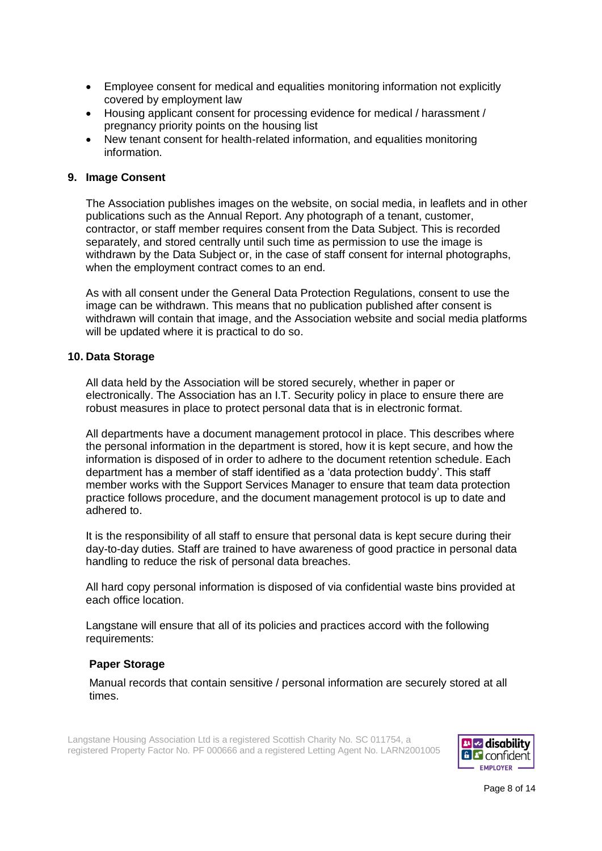- Employee consent for medical and equalities monitoring information not explicitly covered by employment law
- Housing applicant consent for processing evidence for medical / harassment / pregnancy priority points on the housing list
- New tenant consent for health-related information, and equalities monitoring information.

### **9. Image Consent**

The Association publishes images on the website, on social media, in leaflets and in other publications such as the Annual Report. Any photograph of a tenant, customer, contractor, or staff member requires consent from the Data Subject. This is recorded separately, and stored centrally until such time as permission to use the image is withdrawn by the Data Subject or, in the case of staff consent for internal photographs, when the employment contract comes to an end.

As with all consent under the General Data Protection Regulations, consent to use the image can be withdrawn. This means that no publication published after consent is withdrawn will contain that image, and the Association website and social media platforms will be updated where it is practical to do so.

#### **10. Data Storage**

All data held by the Association will be stored securely, whether in paper or electronically. The Association has an I.T. Security policy in place to ensure there are robust measures in place to protect personal data that is in electronic format.

All departments have a document management protocol in place. This describes where the personal information in the department is stored, how it is kept secure, and how the information is disposed of in order to adhere to the document retention schedule. Each department has a member of staff identified as a 'data protection buddy'. This staff member works with the Support Services Manager to ensure that team data protection practice follows procedure, and the document management protocol is up to date and adhered to.

It is the responsibility of all staff to ensure that personal data is kept secure during their day-to-day duties. Staff are trained to have awareness of good practice in personal data handling to reduce the risk of personal data breaches.

All hard copy personal information is disposed of via confidential waste bins provided at each office location.

Langstane will ensure that all of its policies and practices accord with the following requirements:

#### **Paper Storage**

Manual records that contain sensitive / personal information are securely stored at all times.



Page 8 of 14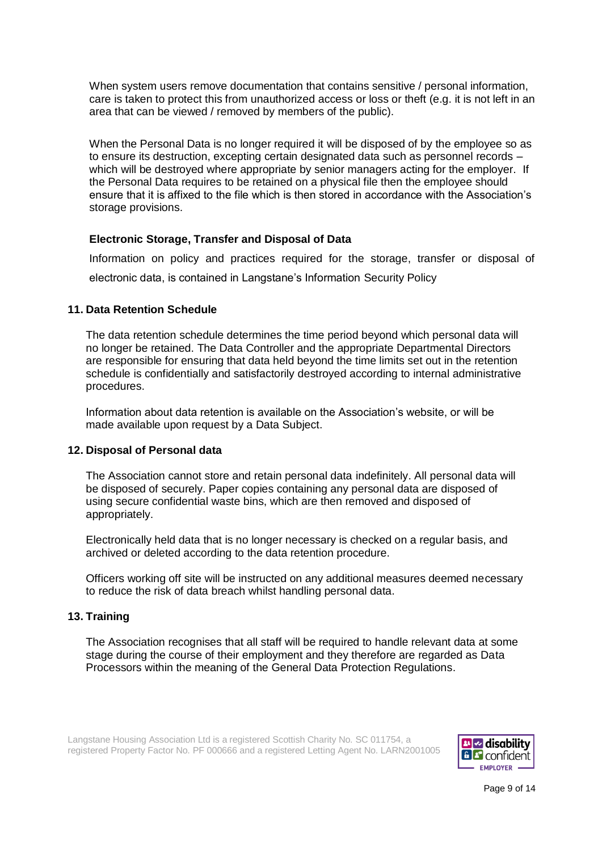When system users remove documentation that contains sensitive / personal information, care is taken to protect this from unauthorized access or loss or theft (e.g. it is not left in an area that can be viewed / removed by members of the public).

When the Personal Data is no longer required it will be disposed of by the employee so as to ensure its destruction, excepting certain designated data such as personnel records – which will be destroyed where appropriate by senior managers acting for the employer. If the Personal Data requires to be retained on a physical file then the employee should ensure that it is affixed to the file which is then stored in accordance with the Association's storage provisions.

# **Electronic Storage, Transfer and Disposal of Data**

Information on policy and practices required for the storage, transfer or disposal of electronic data, is contained in Langstane's Information Security Policy

# **11. Data Retention Schedule**

The data retention schedule determines the time period beyond which personal data will no longer be retained. The Data Controller and the appropriate Departmental Directors are responsible for ensuring that data held beyond the time limits set out in the retention schedule is confidentially and satisfactorily destroyed according to internal administrative procedures.

Information about data retention is available on the Association's website, or will be made available upon request by a Data Subject.

# **12. Disposal of Personal data**

The Association cannot store and retain personal data indefinitely. All personal data will be disposed of securely. Paper copies containing any personal data are disposed of using secure confidential waste bins, which are then removed and disposed of appropriately.

Electronically held data that is no longer necessary is checked on a regular basis, and archived or deleted according to the data retention procedure.

Officers working off site will be instructed on any additional measures deemed necessary to reduce the risk of data breach whilst handling personal data.

### **13. Training**

The Association recognises that all staff will be required to handle relevant data at some stage during the course of their employment and they therefore are regarded as Data Processors within the meaning of the General Data Protection Regulations.



Page 9 of 14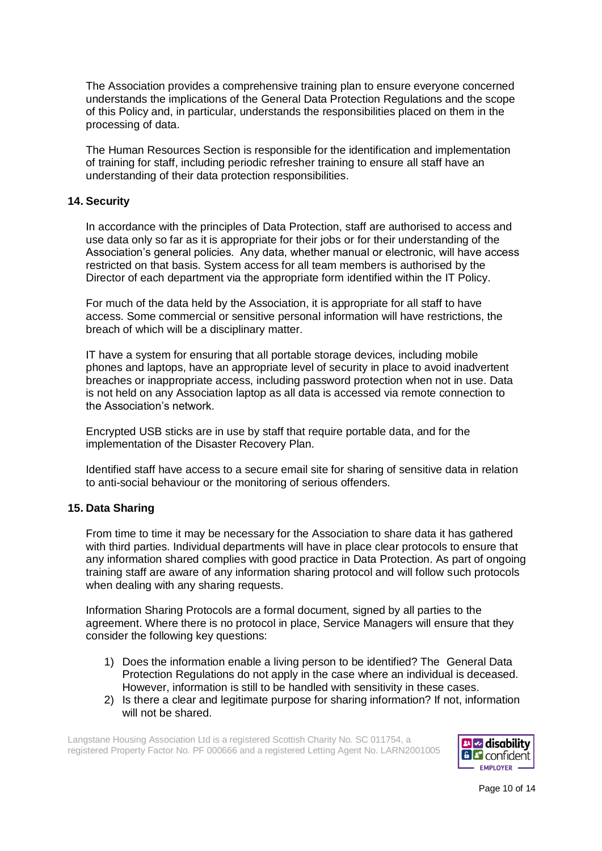The Association provides a comprehensive training plan to ensure everyone concerned understands the implications of the General Data Protection Regulations and the scope of this Policy and, in particular, understands the responsibilities placed on them in the processing of data.

The Human Resources Section is responsible for the identification and implementation of training for staff, including periodic refresher training to ensure all staff have an understanding of their data protection responsibilities.

# **14. Security**

In accordance with the principles of Data Protection, staff are authorised to access and use data only so far as it is appropriate for their jobs or for their understanding of the Association's general policies. Any data, whether manual or electronic, will have access restricted on that basis. System access for all team members is authorised by the Director of each department via the appropriate form identified within the IT Policy.

For much of the data held by the Association, it is appropriate for all staff to have access. Some commercial or sensitive personal information will have restrictions, the breach of which will be a disciplinary matter.

IT have a system for ensuring that all portable storage devices, including mobile phones and laptops, have an appropriate level of security in place to avoid inadvertent breaches or inappropriate access, including password protection when not in use. Data is not held on any Association laptop as all data is accessed via remote connection to the Association's network.

Encrypted USB sticks are in use by staff that require portable data, and for the implementation of the Disaster Recovery Plan.

Identified staff have access to a secure email site for sharing of sensitive data in relation to anti-social behaviour or the monitoring of serious offenders.

### **15. Data Sharing**

From time to time it may be necessary for the Association to share data it has gathered with third parties. Individual departments will have in place clear protocols to ensure that any information shared complies with good practice in Data Protection. As part of ongoing training staff are aware of any information sharing protocol and will follow such protocols when dealing with any sharing requests.

Information Sharing Protocols are a formal document, signed by all parties to the agreement. Where there is no protocol in place, Service Managers will ensure that they consider the following key questions:

- 1) Does the information enable a living person to be identified? The General Data Protection Regulations do not apply in the case where an individual is deceased. However, information is still to be handled with sensitivity in these cases.
- 2) Is there a clear and legitimate purpose for sharing information? If not, information will not be shared.

Langstane Housing Association Ltd is a registered Scottish Charity No. SC 011754, a registered Property Factor No. PF 000666 and a registered Letting Agent No. LARN2001005



Page 10 of 14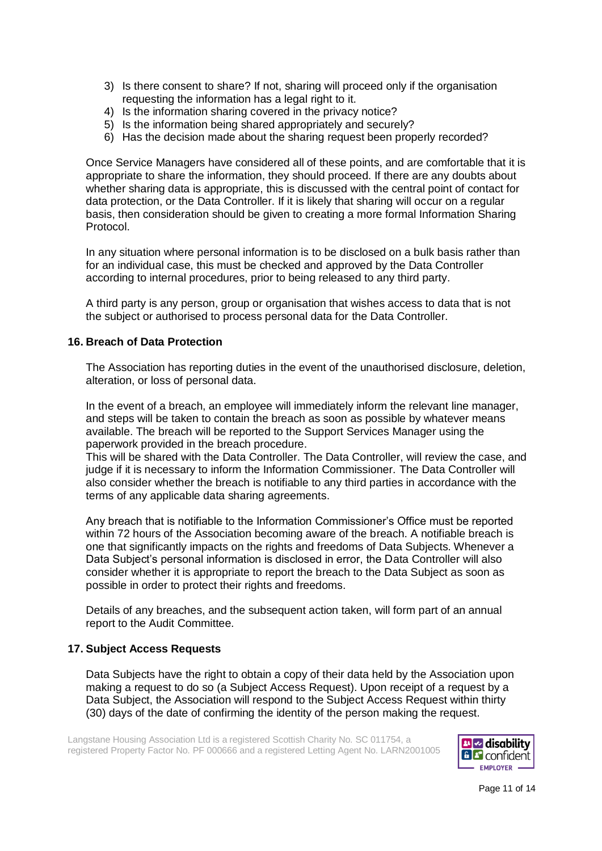- 3) Is there consent to share? If not, sharing will proceed only if the organisation requesting the information has a legal right to it.
- 4) Is the information sharing covered in the privacy notice?
- 5) Is the information being shared appropriately and securely?
- 6) Has the decision made about the sharing request been properly recorded?

Once Service Managers have considered all of these points, and are comfortable that it is appropriate to share the information, they should proceed. If there are any doubts about whether sharing data is appropriate, this is discussed with the central point of contact for data protection, or the Data Controller. If it is likely that sharing will occur on a regular basis, then consideration should be given to creating a more formal Information Sharing Protocol.

In any situation where personal information is to be disclosed on a bulk basis rather than for an individual case, this must be checked and approved by the Data Controller according to internal procedures, prior to being released to any third party.

A third party is any person, group or organisation that wishes access to data that is not the subject or authorised to process personal data for the Data Controller.

# **16. Breach of Data Protection**

The Association has reporting duties in the event of the unauthorised disclosure, deletion, alteration, or loss of personal data.

In the event of a breach, an employee will immediately inform the relevant line manager, and steps will be taken to contain the breach as soon as possible by whatever means available. The breach will be reported to the Support Services Manager using the paperwork provided in the breach procedure.

This will be shared with the Data Controller. The Data Controller, will review the case, and judge if it is necessary to inform the Information Commissioner. The Data Controller will also consider whether the breach is notifiable to any third parties in accordance with the terms of any applicable data sharing agreements.

Any breach that is notifiable to the Information Commissioner's Office must be reported within 72 hours of the Association becoming aware of the breach. A notifiable breach is one that significantly impacts on the rights and freedoms of Data Subjects. Whenever a Data Subject's personal information is disclosed in error, the Data Controller will also consider whether it is appropriate to report the breach to the Data Subject as soon as possible in order to protect their rights and freedoms.

Details of any breaches, and the subsequent action taken, will form part of an annual report to the Audit Committee.

### **17. Subject Access Requests**

Data Subjects have the right to obtain a copy of their data held by the Association upon making a request to do so (a Subject Access Request). Upon receipt of a request by a Data Subject, the Association will respond to the Subject Access Request within thirty (30) days of the date of confirming the identity of the person making the request.

Langstane Housing Association Ltd is a registered Scottish Charity No. SC 011754, a registered Property Factor No. PF 000666 and a registered Letting Agent No. LARN2001005



Page 11 of 14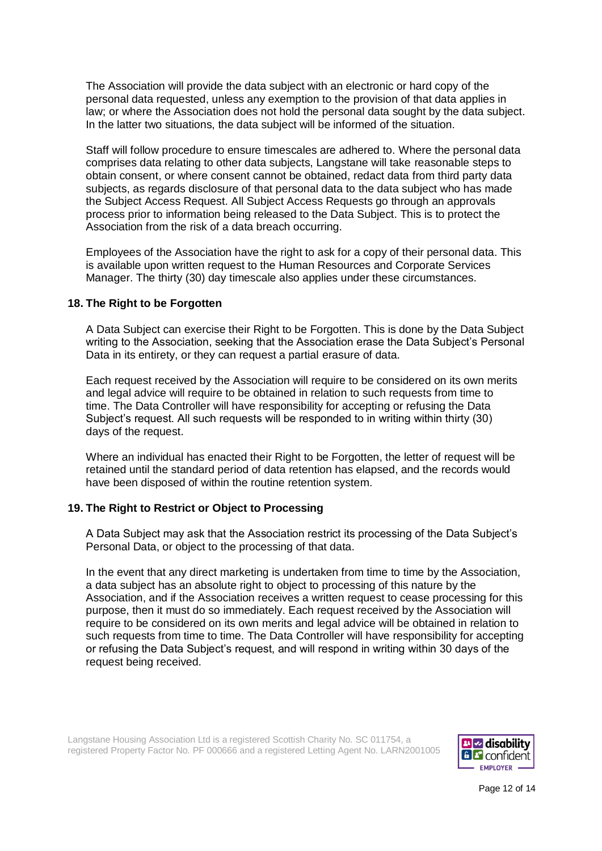The Association will provide the data subject with an electronic or hard copy of the personal data requested, unless any exemption to the provision of that data applies in law; or where the Association does not hold the personal data sought by the data subject. In the latter two situations, the data subject will be informed of the situation.

Staff will follow procedure to ensure timescales are adhered to. Where the personal data comprises data relating to other data subjects, Langstane will take reasonable steps to obtain consent, or where consent cannot be obtained, redact data from third party data subjects, as regards disclosure of that personal data to the data subject who has made the Subject Access Request. All Subject Access Requests go through an approvals process prior to information being released to the Data Subject. This is to protect the Association from the risk of a data breach occurring.

Employees of the Association have the right to ask for a copy of their personal data. This is available upon written request to the Human Resources and Corporate Services Manager. The thirty (30) day timescale also applies under these circumstances.

### **18. The Right to be Forgotten**

A Data Subject can exercise their Right to be Forgotten. This is done by the Data Subject writing to the Association, seeking that the Association erase the Data Subject's Personal Data in its entirety, or they can request a partial erasure of data.

Each request received by the Association will require to be considered on its own merits and legal advice will require to be obtained in relation to such requests from time to time. The Data Controller will have responsibility for accepting or refusing the Data Subject's request. All such requests will be responded to in writing within thirty (30) days of the request.

Where an individual has enacted their Right to be Forgotten, the letter of request will be retained until the standard period of data retention has elapsed, and the records would have been disposed of within the routine retention system.

# **19. The Right to Restrict or Object to Processing**

A Data Subject may ask that the Association restrict its processing of the Data Subject's Personal Data, or object to the processing of that data.

In the event that any direct marketing is undertaken from time to time by the Association, a data subject has an absolute right to object to processing of this nature by the Association, and if the Association receives a written request to cease processing for this purpose, then it must do so immediately. Each request received by the Association will require to be considered on its own merits and legal advice will be obtained in relation to such requests from time to time. The Data Controller will have responsibility for accepting or refusing the Data Subject's request, and will respond in writing within 30 days of the request being received.



Page 12 of 14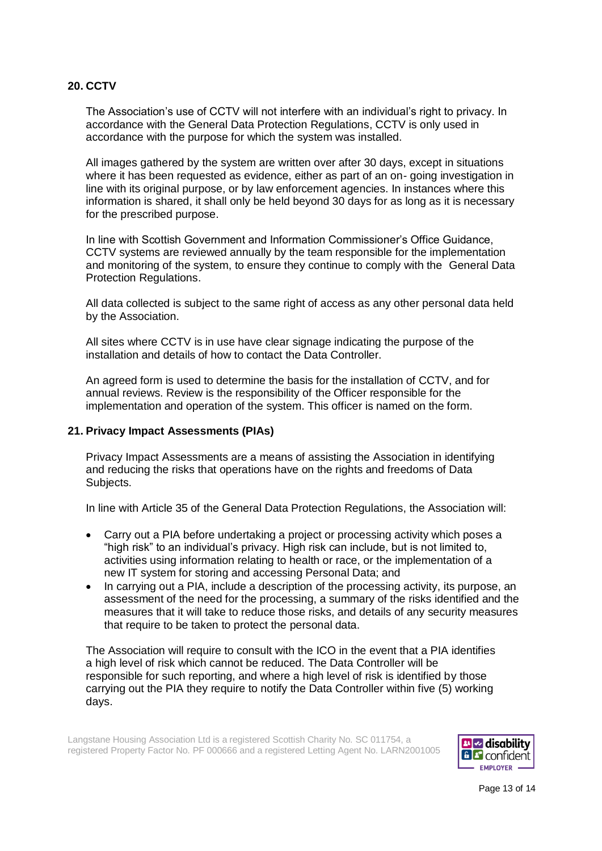# **20. CCTV**

The Association's use of CCTV will not interfere with an individual's right to privacy. In accordance with the General Data Protection Regulations, CCTV is only used in accordance with the purpose for which the system was installed.

All images gathered by the system are written over after 30 days, except in situations where it has been requested as evidence, either as part of an on- going investigation in line with its original purpose, or by law enforcement agencies. In instances where this information is shared, it shall only be held beyond 30 days for as long as it is necessary for the prescribed purpose.

In line with Scottish Government and Information Commissioner's Office Guidance, CCTV systems are reviewed annually by the team responsible for the implementation and monitoring of the system, to ensure they continue to comply with the General Data Protection Regulations.

All data collected is subject to the same right of access as any other personal data held by the Association.

All sites where CCTV is in use have clear signage indicating the purpose of the installation and details of how to contact the Data Controller.

An agreed form is used to determine the basis for the installation of CCTV, and for annual reviews. Review is the responsibility of the Officer responsible for the implementation and operation of the system. This officer is named on the form.

# **21. Privacy Impact Assessments (PIAs)**

Privacy Impact Assessments are a means of assisting the Association in identifying and reducing the risks that operations have on the rights and freedoms of Data Subjects.

In line with Article 35 of the General Data Protection Regulations, the Association will:

- Carry out a PIA before undertaking a project or processing activity which poses a "high risk" to an individual's privacy. High risk can include, but is not limited to, activities using information relating to health or race, or the implementation of a new IT system for storing and accessing Personal Data; and
- In carrying out a PIA, include a description of the processing activity, its purpose, an assessment of the need for the processing, a summary of the risks identified and the measures that it will take to reduce those risks, and details of any security measures that require to be taken to protect the personal data.

The Association will require to consult with the ICO in the event that a PIA identifies a high level of risk which cannot be reduced. The Data Controller will be responsible for such reporting, and where a high level of risk is identified by those carrying out the PIA they require to notify the Data Controller within five (5) working days.



Page 13 of 14